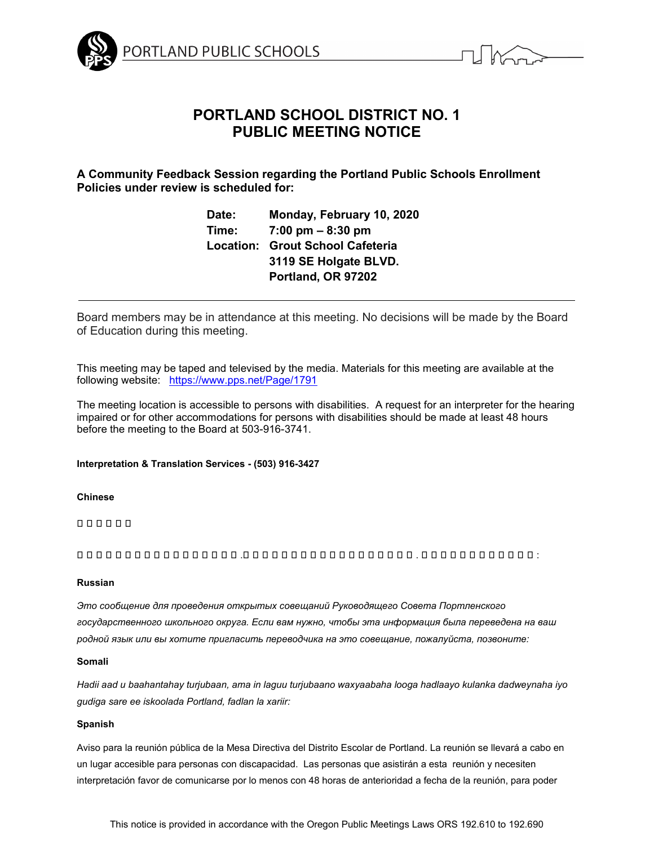



# **PORTLAND SCHOOL DISTRICT NO. 1 PUBLIC MEETING NOTICE**

**A Community Feedback Session regarding the Portland Public Schools Enrollment Policies under review is scheduled for:**

> **Date: Monday, February 10, 2020 Time: 7:00 pm – 8:30 pm Location: Grout School Cafeteria 3119 SE Holgate BLVD. Portland, OR 97202**

Board members may be in attendance at this meeting. No decisions will be made by the Board of Education during this meeting.

This meeting may be taped and televised by the media. Materials for this meeting are available at the following website: <https://www.pps.net/Page/1791>

The meeting location is accessible to persons with disabilities. A request for an interpreter for the hearing impaired or for other accommodations for persons with disabilities should be made at least 48 hours before the meeting to the Board at 503-916-3741.

### **Interpretation & Translation Services - (503) 916-3427**

### **Chinese**

學 校翻譯委會

這通告有關波特蘭公立 學 校教育委員會 .若閣下需要有關議會資料內容翻譯或通譯 . 請聯略以下的語言聯略人員 :

### **Russian**

*Это сообщение для проведения открытых совещаний Руководящего Совета Портленского государственного школьного округа. Если вам нужно, чтобы эта информация была переведена на ваш родной язык или вы хотите пригласить переводчика на это совещание, пожалуйста, позвоните:*

### **Somali**

*Hadii aad u baahantahay turjubaan, ama in laguu turjubaano waxyaabaha looga hadlaayo kulanka dadweynaha iyo gudiga sare ee iskoolada Portland, fadlan la xariir:* 

### **Spanish**

Aviso para la reunión pública de la Mesa Directiva del Distrito Escolar de Portland. La reunión se llevará a cabo en un lugar accesible para personas con discapacidad. Las personas que asistirán a esta reunión y necesiten interpretación favor de comunicarse por lo menos con 48 horas de anterioridad a fecha de la reunión, para poder